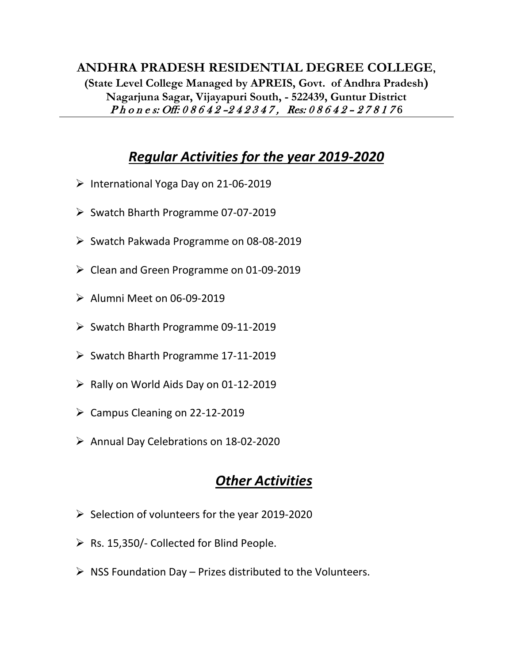#### **ANDHRA PRADESH RESIDENTIAL DEGREE COLLEGE, (State Level College Managed by APREIS, Govt. of Andhra Pradesh) Nagarjuna Sagar, Vijayapuri South, - 522439, Guntur District** Ph o n e s: Off: 0 8 6 4 2 - 2 4 2 3 4 7, Res: 0 8 6 4 2 - 2 7 8 1 7 6

# *Regular Activities for the year 2019-2020*

- ➢ International Yoga Day on 21-06-2019
- ➢ Swatch Bharth Programme 07-07-2019
- ➢ Swatch Pakwada Programme on 08-08-2019
- ➢ Clean and Green Programme on 01-09-2019
- ➢ Alumni Meet on 06-09-2019
- ➢ Swatch Bharth Programme 09-11-2019
- ➢ Swatch Bharth Programme 17-11-2019
- $\triangleright$  Rally on World Aids Day on 01-12-2019
- $\triangleright$  Campus Cleaning on 22-12-2019
- ➢ Annual Day Celebrations on 18-02-2020

# *Other Activities*

- $\triangleright$  Selection of volunteers for the year 2019-2020
- $\triangleright$  Rs. 15,350/- Collected for Blind People.
- $\triangleright$  NSS Foundation Day Prizes distributed to the Volunteers.